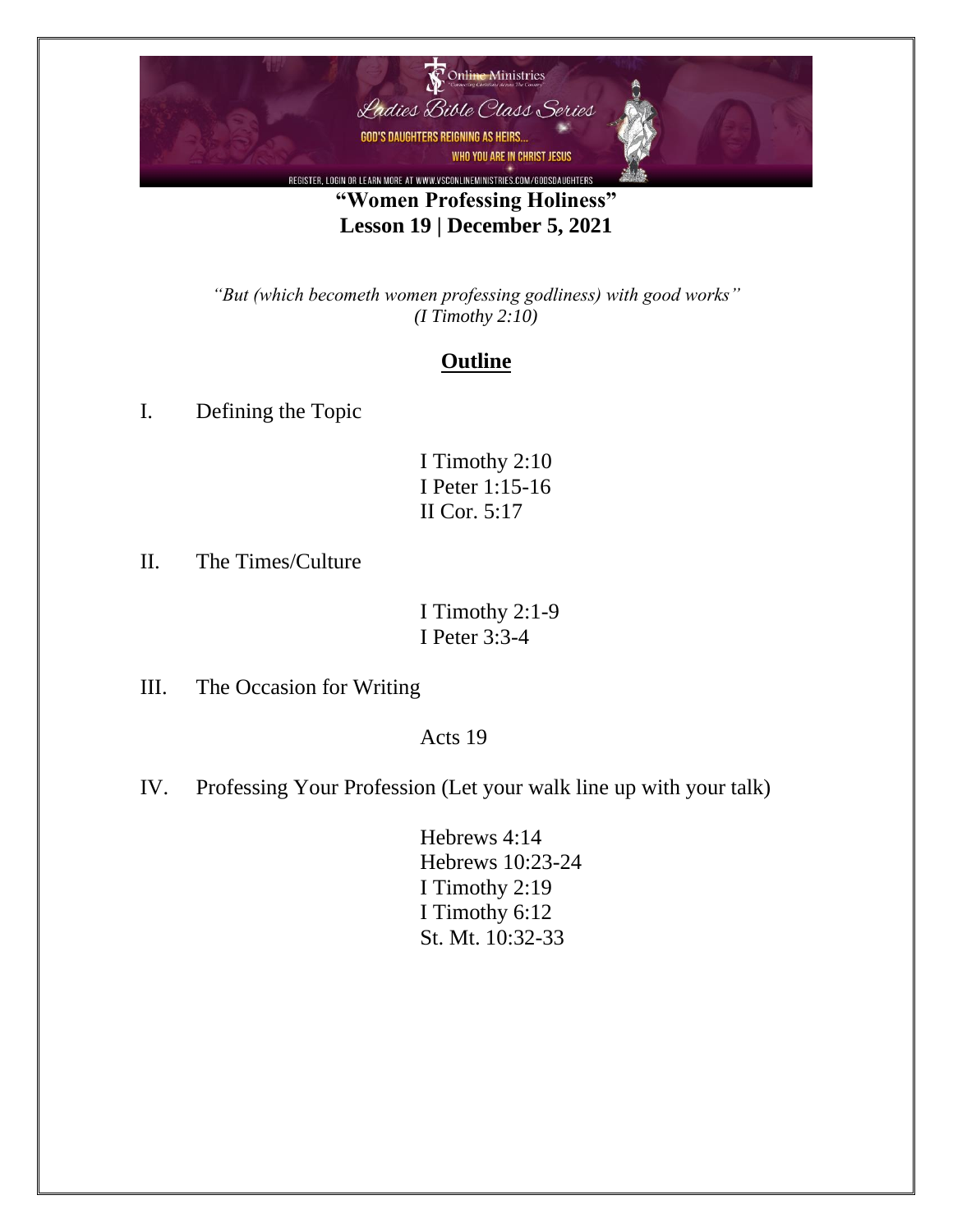

## **"Women Professing Holiness" Lesson 19 | December 5, 2021**

*"But (which becometh women professing godliness) with good works" (I Timothy 2:10)*

## **Outline**

I. Defining the Topic

II. The Times/Culture

I Timothy 2:1-9 I Peter 3:3-4

III. The Occasion for Writing

Acts 19

- IV. Professing Your Profession (Let your walk line up with your talk)
	- Hebrews 4:14 Hebrews 10:23-24 I Timothy 2:19 I Timothy 6:12 St. Mt. 10:32-33

I Timothy 2:10 I Peter 1:15-16 II Cor. 5:17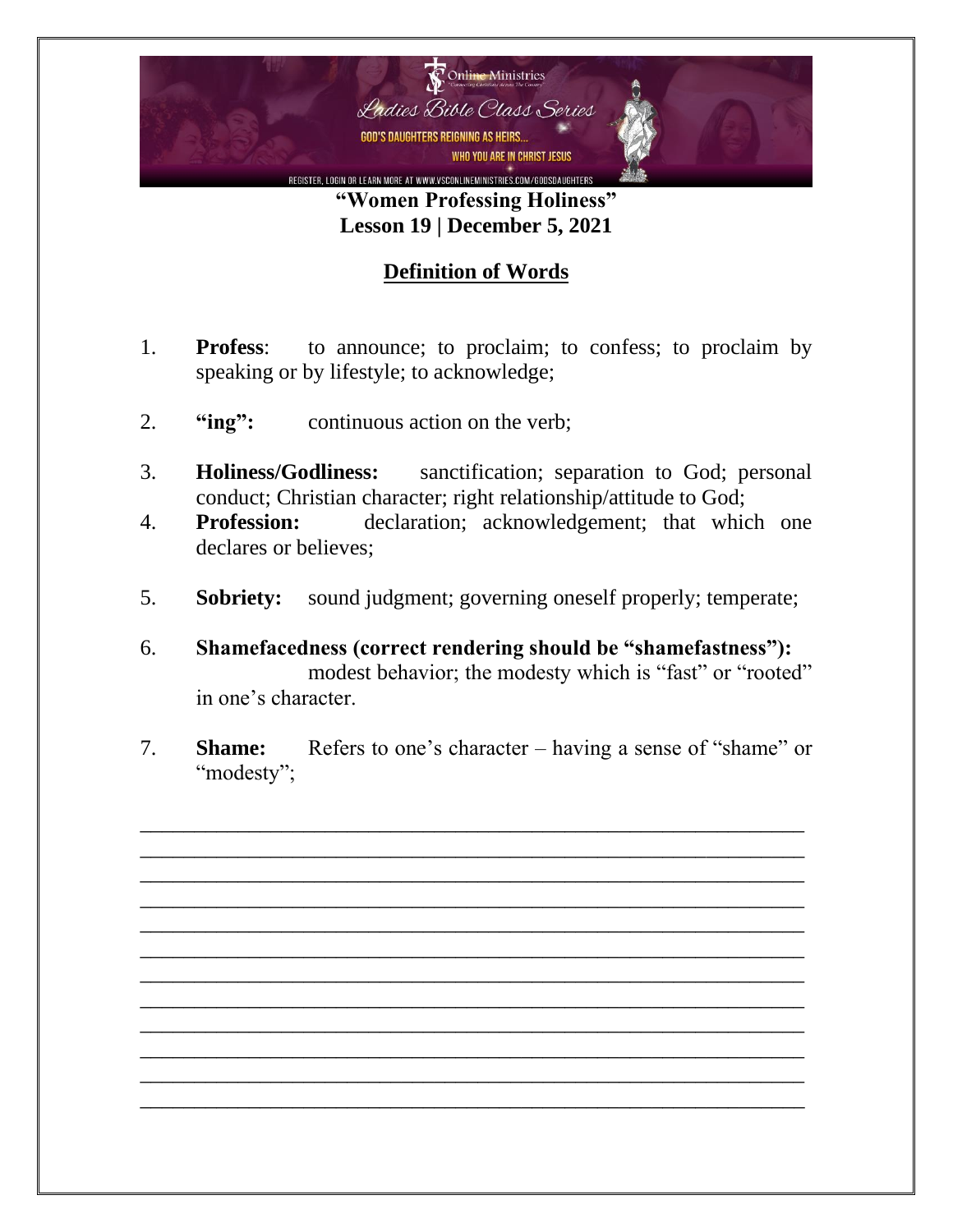

**"Women Professing Holiness" Lesson 19 | December 5, 2021**

## **Definition of Words**

- 1. **Profess**: to announce; to proclaim; to confess; to proclaim by speaking or by lifestyle; to acknowledge;
- 2. **"ing":** continuous action on the verb;
- 3. **Holiness/Godliness:** sanctification; separation to God; personal conduct; Christian character; right relationship/attitude to God;
- 4. **Profession:** declaration; acknowledgement; that which one declares or believes;
- 5. **Sobriety:** sound judgment; governing oneself properly; temperate;
- 6. **Shamefacedness (correct rendering should be "shamefastness"):** modest behavior; the modesty which is "fast" or "rooted" in one's character.
- 7. **Shame:** Refers to one's character having a sense of "shame" or "modesty";

\_\_\_\_\_\_\_\_\_\_\_\_\_\_\_\_\_\_\_\_\_\_\_\_\_\_\_\_\_\_\_\_\_\_\_\_\_\_\_\_\_\_\_\_\_\_\_\_\_\_\_\_\_\_\_\_\_\_\_\_\_ \_\_\_\_\_\_\_\_\_\_\_\_\_\_\_\_\_\_\_\_\_\_\_\_\_\_\_\_\_\_\_\_\_\_\_\_\_\_\_\_\_\_\_\_\_\_\_\_\_\_\_\_\_\_\_\_\_\_\_\_\_ \_\_\_\_\_\_\_\_\_\_\_\_\_\_\_\_\_\_\_\_\_\_\_\_\_\_\_\_\_\_\_\_\_\_\_\_\_\_\_\_\_\_\_\_\_\_\_\_\_\_\_\_\_\_\_\_\_\_\_\_\_ \_\_\_\_\_\_\_\_\_\_\_\_\_\_\_\_\_\_\_\_\_\_\_\_\_\_\_\_\_\_\_\_\_\_\_\_\_\_\_\_\_\_\_\_\_\_\_\_\_\_\_\_\_\_\_\_\_\_\_\_\_ \_\_\_\_\_\_\_\_\_\_\_\_\_\_\_\_\_\_\_\_\_\_\_\_\_\_\_\_\_\_\_\_\_\_\_\_\_\_\_\_\_\_\_\_\_\_\_\_\_\_\_\_\_\_\_\_\_\_\_\_\_ \_\_\_\_\_\_\_\_\_\_\_\_\_\_\_\_\_\_\_\_\_\_\_\_\_\_\_\_\_\_\_\_\_\_\_\_\_\_\_\_\_\_\_\_\_\_\_\_\_\_\_\_\_\_\_\_\_\_\_\_\_ \_\_\_\_\_\_\_\_\_\_\_\_\_\_\_\_\_\_\_\_\_\_\_\_\_\_\_\_\_\_\_\_\_\_\_\_\_\_\_\_\_\_\_\_\_\_\_\_\_\_\_\_\_\_\_\_\_\_\_\_\_ \_\_\_\_\_\_\_\_\_\_\_\_\_\_\_\_\_\_\_\_\_\_\_\_\_\_\_\_\_\_\_\_\_\_\_\_\_\_\_\_\_\_\_\_\_\_\_\_\_\_\_\_\_\_\_\_\_\_\_\_\_ \_\_\_\_\_\_\_\_\_\_\_\_\_\_\_\_\_\_\_\_\_\_\_\_\_\_\_\_\_\_\_\_\_\_\_\_\_\_\_\_\_\_\_\_\_\_\_\_\_\_\_\_\_\_\_\_\_\_\_\_\_ \_\_\_\_\_\_\_\_\_\_\_\_\_\_\_\_\_\_\_\_\_\_\_\_\_\_\_\_\_\_\_\_\_\_\_\_\_\_\_\_\_\_\_\_\_\_\_\_\_\_\_\_\_\_\_\_\_\_\_\_\_ \_\_\_\_\_\_\_\_\_\_\_\_\_\_\_\_\_\_\_\_\_\_\_\_\_\_\_\_\_\_\_\_\_\_\_\_\_\_\_\_\_\_\_\_\_\_\_\_\_\_\_\_\_\_\_\_\_\_\_\_\_ \_\_\_\_\_\_\_\_\_\_\_\_\_\_\_\_\_\_\_\_\_\_\_\_\_\_\_\_\_\_\_\_\_\_\_\_\_\_\_\_\_\_\_\_\_\_\_\_\_\_\_\_\_\_\_\_\_\_\_\_\_